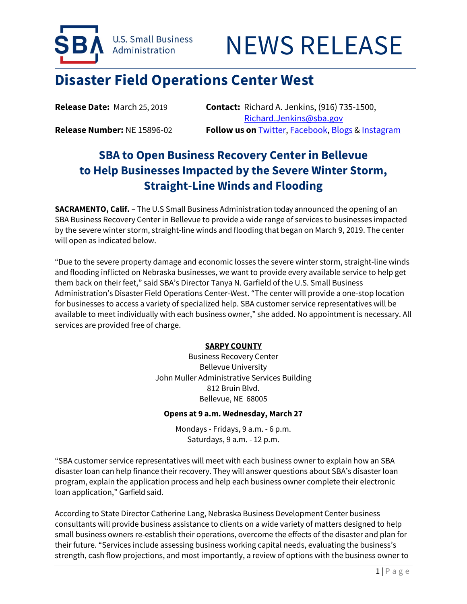



# **Disaster Field Operations Center West**

**Release Date:** March 25, 2019 **Contact:** Richard A. Jenkins, (916) 735-1500, [Richard.Jenkins@sba.gov](mailto:Richard.Jenkins@sba.gov) **Release Number:** NE 15896-02 **Follow us on** [Twitter,](http://www.twitter.com/SBAgov) [Facebook,](http://www.facebook.com/sbagov) [Blogs](http://www.sba.gov/blogs) [& Instagram](https://www.instagram.com/sbagov/)

## **SBA to Open Business Recovery Center in Bellevue to Help Businesses Impacted by the Severe Winter Storm, Straight-Line Winds and Flooding**

**SACRAMENTO, Calif.** – The U.S Small Business Administration today announced the opening of an SBA Business Recovery Center in Bellevue to provide a wide range of services to businesses impacted by the severe winter storm, straight-line winds and flooding that began on March 9, 2019. The center will open as indicated below.

"Due to the severe property damage and economic losses the severe winter storm, straight-line winds and flooding inflicted on Nebraska businesses, we want to provide every available service to help get them back on their feet," said SBA's Director Tanya N. Garfield of the U.S. Small Business Administration's Disaster Field Operations Center-West. "The center will provide a one-stop location for businesses to access a variety of specialized help. SBA customer service representatives will be available to meet individually with each business owner," she added. No appointment is necessary. All services are provided free of charge.

### **SARPY COUNTY**

Business Recovery Center Bellevue University John Muller Administrative Services Building 812 Bruin Blvd. Bellevue, NE 68005

#### **Opens at 9 a.m. Wednesday, March 27**

Mondays - Fridays, 9 a.m. - 6 p.m. Saturdays, 9 a.m. - 12 p.m.

"SBA customer service representatives will meet with each business owner to explain how an SBA disaster loan can help finance their recovery. They will answer questions about SBA's disaster loan program, explain the application process and help each business owner complete their electronic loan application," Garfield said.

According to State Director Catherine Lang, Nebraska Business Development Center business consultants will provide business assistance to clients on a wide variety of matters designed to help small business owners re-establish their operations, overcome the effects of the disaster and plan for their future. "Services include assessing business working capital needs, evaluating the business's strength, cash flow projections, and most importantly, a review of options with the business owner to